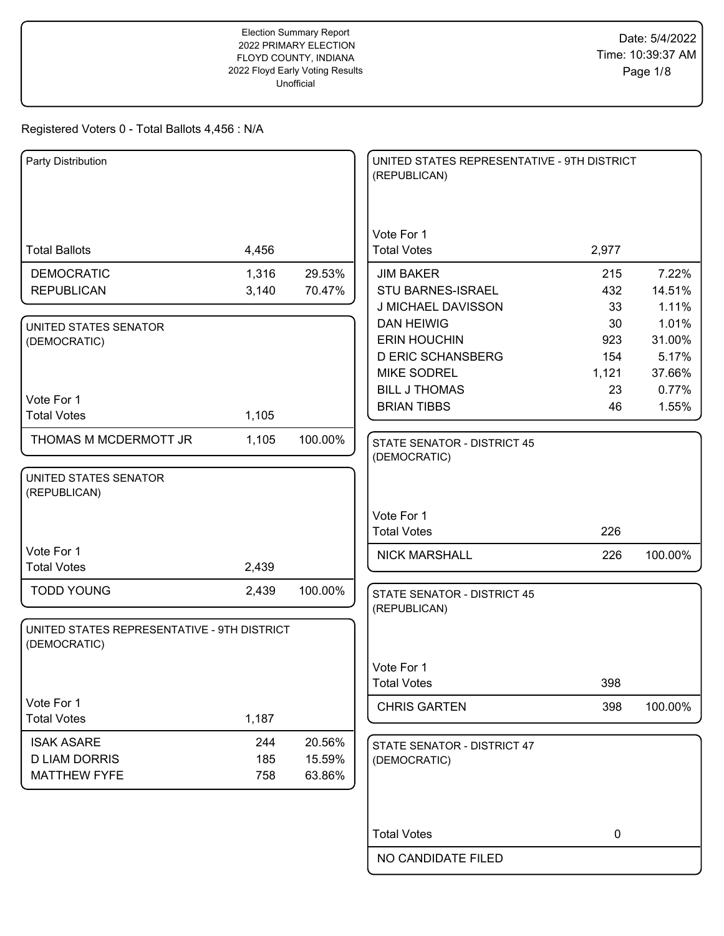| Party Distribution                          |            |                  | UNITED STATES REPRESENTATIVE - 9TH DISTRICT<br>(REPUBLICAN) |           |         |
|---------------------------------------------|------------|------------------|-------------------------------------------------------------|-----------|---------|
|                                             |            |                  |                                                             |           |         |
|                                             |            |                  |                                                             |           |         |
| <b>Total Ballots</b>                        | 4,456      |                  | Vote For 1<br><b>Total Votes</b>                            | 2,977     |         |
| <b>DEMOCRATIC</b>                           | 1,316      | 29.53%           | <b>JIM BAKER</b>                                            | 215       | 7.22%   |
| <b>REPUBLICAN</b>                           | 3,140      | 70.47%           | <b>STU BARNES-ISRAEL</b>                                    | 432       | 14.51%  |
|                                             |            |                  | J MICHAEL DAVISSON                                          | 33        | 1.11%   |
| UNITED STATES SENATOR                       |            |                  | <b>DAN HEIWIG</b>                                           | 30        | 1.01%   |
| (DEMOCRATIC)                                |            |                  | <b>ERIN HOUCHIN</b>                                         | 923       | 31.00%  |
|                                             |            |                  | <b>D ERIC SCHANSBERG</b>                                    | 154       | 5.17%   |
|                                             |            |                  | <b>MIKE SODREL</b>                                          | 1,121     | 37.66%  |
|                                             |            |                  | <b>BILL J THOMAS</b>                                        | 23        | 0.77%   |
| Vote For 1<br><b>Total Votes</b>            | 1,105      |                  | <b>BRIAN TIBBS</b>                                          | 46        | 1.55%   |
|                                             |            |                  |                                                             |           |         |
| THOMAS M MCDERMOTT JR                       | 1,105      | 100.00%          | <b>STATE SENATOR - DISTRICT 45</b>                          |           |         |
|                                             |            |                  | (DEMOCRATIC)                                                |           |         |
| UNITED STATES SENATOR                       |            |                  |                                                             |           |         |
| (REPUBLICAN)                                |            |                  |                                                             |           |         |
|                                             |            |                  | Vote For 1                                                  |           |         |
|                                             |            |                  | <b>Total Votes</b>                                          | 226       |         |
| Vote For 1                                  |            |                  | <b>NICK MARSHALL</b>                                        | 226       | 100.00% |
| <b>Total Votes</b>                          | 2,439      |                  |                                                             |           |         |
| <b>TODD YOUNG</b>                           | 2,439      | 100.00%          | <b>STATE SENATOR - DISTRICT 45</b>                          |           |         |
|                                             |            |                  | (REPUBLICAN)                                                |           |         |
| UNITED STATES REPRESENTATIVE - 9TH DISTRICT |            |                  |                                                             |           |         |
| (DEMOCRATIC)                                |            |                  |                                                             |           |         |
|                                             |            |                  | Vote For 1                                                  |           |         |
|                                             |            |                  | <b>Total Votes</b>                                          | 398       |         |
| Vote For 1                                  |            |                  |                                                             |           |         |
| <b>Total Votes</b>                          | 1,187      |                  | <b>CHRIS GARTEN</b>                                         | 398       | 100.00% |
|                                             |            |                  |                                                             |           |         |
| <b>ISAK ASARE</b>                           | 244        | 20.56%           | STATE SENATOR - DISTRICT 47                                 |           |         |
| <b>D LIAM DORRIS</b><br><b>MATTHEW FYFE</b> | 185<br>758 | 15.59%<br>63.86% | (DEMOCRATIC)                                                |           |         |
|                                             |            |                  |                                                             |           |         |
|                                             |            |                  |                                                             |           |         |
|                                             |            |                  |                                                             |           |         |
|                                             |            |                  | <b>Total Votes</b>                                          | $\pmb{0}$ |         |
|                                             |            |                  | NO CANDIDATE FILED                                          |           |         |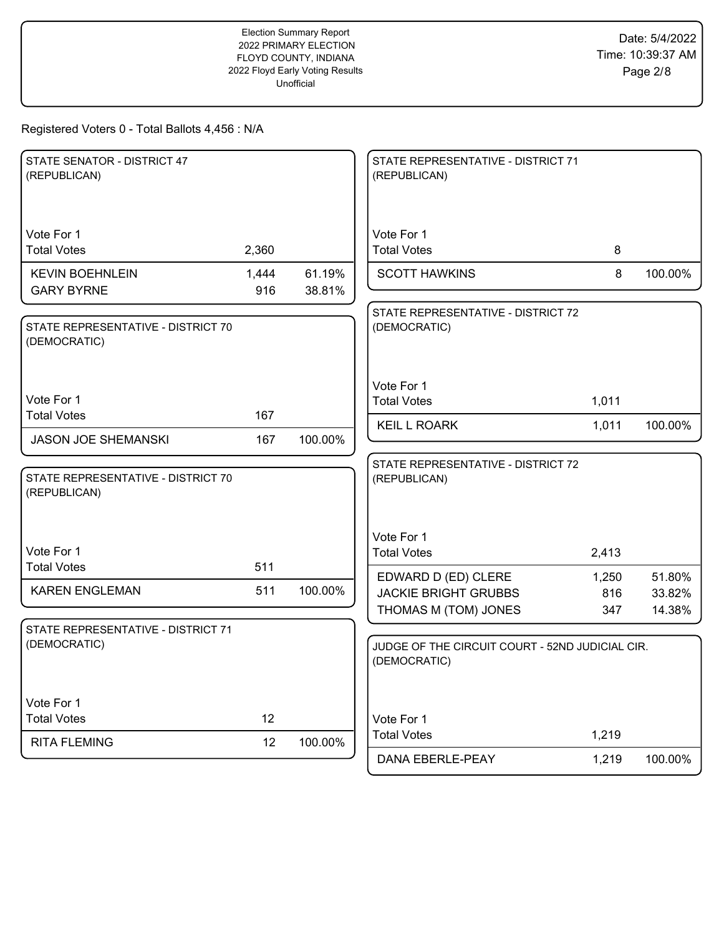| STATE SENATOR - DISTRICT 47<br>(REPUBLICAN)        |              |                  | STATE REPRESENTATIVE - DISTRICT 71<br>(REPUBLICAN)                         |                     |                            |
|----------------------------------------------------|--------------|------------------|----------------------------------------------------------------------------|---------------------|----------------------------|
| Vote For 1<br><b>Total Votes</b>                   | 2,360        |                  | Vote For 1<br><b>Total Votes</b>                                           | 8                   |                            |
| <b>KEVIN BOEHNLEIN</b><br><b>GARY BYRNE</b>        | 1,444<br>916 | 61.19%<br>38.81% | <b>SCOTT HAWKINS</b>                                                       | 8                   | 100.00%                    |
| STATE REPRESENTATIVE - DISTRICT 70<br>(DEMOCRATIC) |              |                  | STATE REPRESENTATIVE - DISTRICT 72<br>(DEMOCRATIC)                         |                     |                            |
| Vote For 1                                         |              |                  | Vote For 1<br><b>Total Votes</b>                                           | 1,011               |                            |
| <b>Total Votes</b>                                 | 167          |                  | <b>KEIL L ROARK</b>                                                        | 1,011               | 100.00%                    |
| <b>JASON JOE SHEMANSKI</b>                         | 167          | 100.00%          |                                                                            |                     |                            |
| STATE REPRESENTATIVE - DISTRICT 70<br>(REPUBLICAN) |              |                  | STATE REPRESENTATIVE - DISTRICT 72<br>(REPUBLICAN)                         |                     |                            |
| Vote For 1<br><b>Total Votes</b>                   | 511          |                  | Vote For 1<br><b>Total Votes</b>                                           | 2,413               |                            |
| <b>KAREN ENGLEMAN</b>                              | 511          | 100.00%          | EDWARD D (ED) CLERE<br><b>JACKIE BRIGHT GRUBBS</b><br>THOMAS M (TOM) JONES | 1,250<br>816<br>347 | 51.80%<br>33.82%<br>14.38% |
| STATE REPRESENTATIVE - DISTRICT 71<br>(DEMOCRATIC) |              |                  | JUDGE OF THE CIRCUIT COURT - 52ND JUDICIAL CIR.<br>(DEMOCRATIC)            |                     |                            |
| Vote For 1<br><b>Total Votes</b>                   | 12           |                  | Vote For 1                                                                 |                     |                            |
| <b>RITA FLEMING</b>                                | 12           | 100.00%          | <b>Total Votes</b><br>DANA EBERLE-PEAY                                     | 1,219<br>1,219      | 100.00%                    |
|                                                    |              |                  |                                                                            |                     |                            |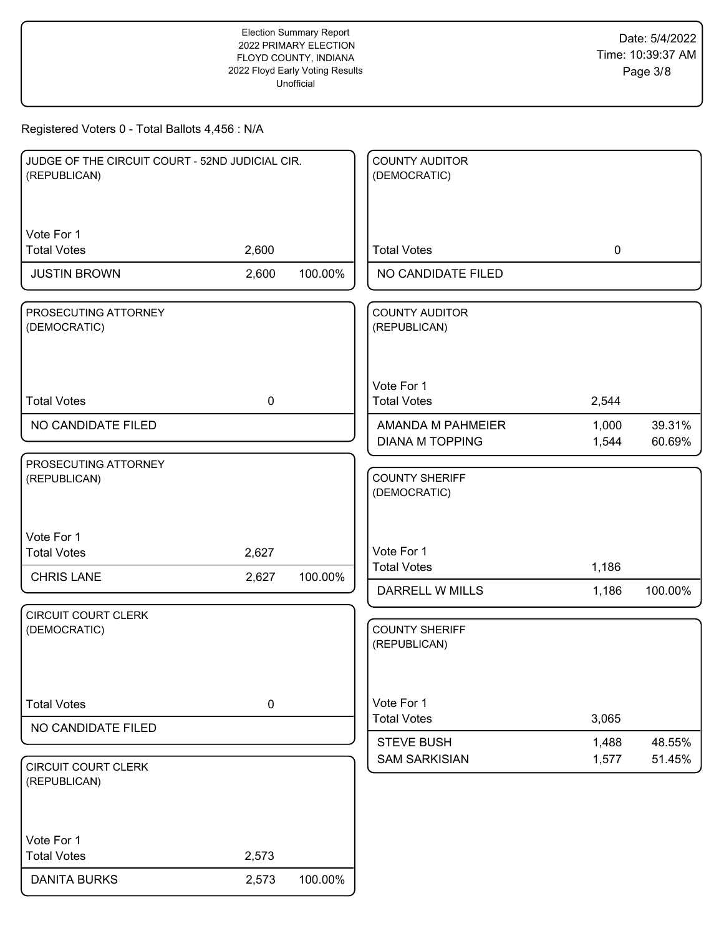| JUDGE OF THE CIRCUIT COURT - 52ND JUDICIAL CIR.<br>(REPUBLICAN) |             |         | <b>COUNTY AUDITOR</b><br>(DEMOCRATIC)       |                |                  |
|-----------------------------------------------------------------|-------------|---------|---------------------------------------------|----------------|------------------|
| Vote For 1<br><b>Total Votes</b>                                | 2,600       |         | <b>Total Votes</b>                          | $\mathbf 0$    |                  |
| <b>JUSTIN BROWN</b>                                             | 2,600       | 100.00% | NO CANDIDATE FILED                          |                |                  |
| PROSECUTING ATTORNEY<br>(DEMOCRATIC)                            |             |         | <b>COUNTY AUDITOR</b><br>(REPUBLICAN)       |                |                  |
| <b>Total Votes</b>                                              | $\mathbf 0$ |         | Vote For 1<br><b>Total Votes</b>            | 2,544          |                  |
| NO CANDIDATE FILED                                              |             |         | AMANDA M PAHMEIER<br><b>DIANA M TOPPING</b> | 1,000<br>1,544 | 39.31%<br>60.69% |
| PROSECUTING ATTORNEY<br>(REPUBLICAN)                            |             |         | <b>COUNTY SHERIFF</b><br>(DEMOCRATIC)       |                |                  |
| Vote For 1<br><b>Total Votes</b>                                | 2,627       |         | Vote For 1<br><b>Total Votes</b>            | 1,186          |                  |
| <b>CHRIS LANE</b>                                               | 2,627       | 100.00% | DARRELL W MILLS                             | 1,186          | 100.00%          |
| <b>CIRCUIT COURT CLERK</b><br>(DEMOCRATIC)                      |             |         | <b>COUNTY SHERIFF</b><br>(REPUBLICAN)       |                |                  |
| <b>Total Votes</b>                                              | $\pmb{0}$   |         | Vote For 1<br><b>Total Votes</b>            | 3,065          |                  |
| NO CANDIDATE FILED<br><b>CIRCUIT COURT CLERK</b>                |             |         | <b>STEVE BUSH</b><br><b>SAM SARKISIAN</b>   | 1,488<br>1,577 | 48.55%<br>51.45% |
| (REPUBLICAN)<br>Vote For 1<br><b>Total Votes</b>                | 2,573       |         |                                             |                |                  |
| <b>DANITA BURKS</b>                                             | 2,573       | 100.00% |                                             |                |                  |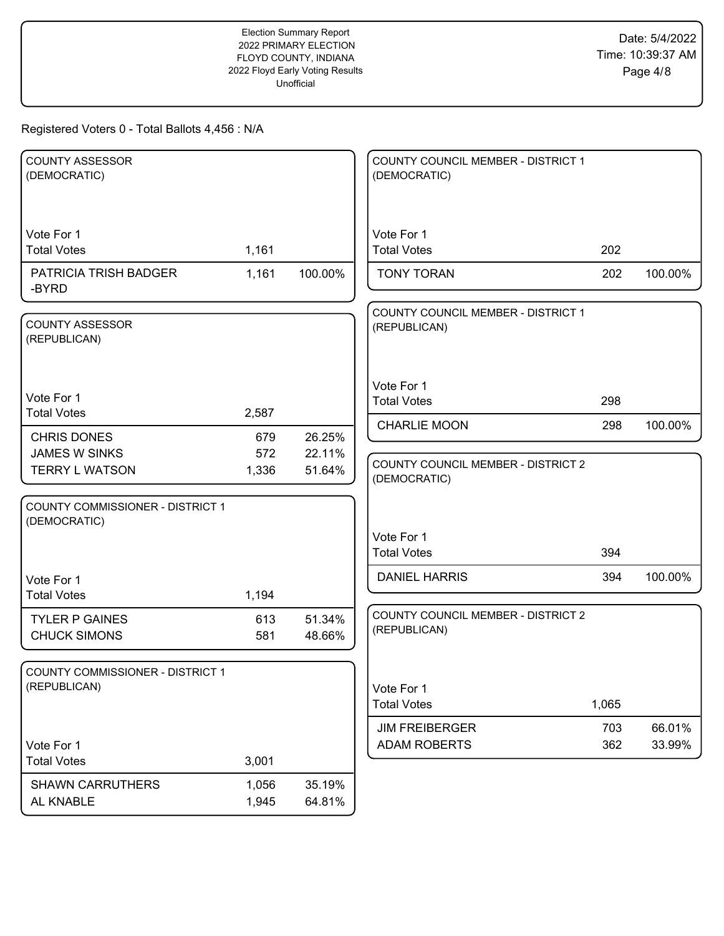| <b>COUNTY ASSESSOR</b><br>(DEMOCRATIC) |       |         | COUNTY COUNCIL MEMBER - DISTRICT 1<br>(DEMOCRATIC) |       |         |
|----------------------------------------|-------|---------|----------------------------------------------------|-------|---------|
|                                        |       |         |                                                    |       |         |
| Vote For 1                             |       |         | Vote For 1                                         |       |         |
| <b>Total Votes</b>                     | 1,161 |         | <b>Total Votes</b>                                 | 202   |         |
| PATRICIA TRISH BADGER<br>-BYRD         | 1,161 | 100.00% | <b>TONY TORAN</b>                                  | 202   | 100.00% |
|                                        |       |         | COUNTY COUNCIL MEMBER - DISTRICT 1                 |       |         |
| <b>COUNTY ASSESSOR</b><br>(REPUBLICAN) |       |         | (REPUBLICAN)                                       |       |         |
|                                        |       |         | Vote For 1                                         |       |         |
| Vote For 1                             |       |         | <b>Total Votes</b>                                 | 298   |         |
| <b>Total Votes</b>                     | 2,587 |         | <b>CHARLIE MOON</b>                                | 298   | 100.00% |
| <b>CHRIS DONES</b>                     | 679   | 26.25%  |                                                    |       |         |
| <b>JAMES W SINKS</b>                   | 572   | 22.11%  | COUNTY COUNCIL MEMBER - DISTRICT 2                 |       |         |
| <b>TERRY L WATSON</b>                  | 1,336 | 51.64%  | (DEMOCRATIC)                                       |       |         |
| COUNTY COMMISSIONER - DISTRICT 1       |       |         |                                                    |       |         |
| (DEMOCRATIC)                           |       |         | Vote For 1                                         |       |         |
|                                        |       |         | <b>Total Votes</b>                                 | 394   |         |
|                                        |       |         |                                                    |       |         |
| Vote For 1                             |       |         | <b>DANIEL HARRIS</b>                               | 394   | 100.00% |
| <b>Total Votes</b>                     | 1,194 |         |                                                    |       |         |
| <b>TYLER P GAINES</b>                  | 613   | 51.34%  | COUNTY COUNCIL MEMBER - DISTRICT 2<br>(REPUBLICAN) |       |         |
| <b>CHUCK SIMONS</b>                    | 581   | 48.66%  |                                                    |       |         |
|                                        |       |         |                                                    |       |         |
| COUNTY COMMISSIONER - DISTRICT 1       |       |         |                                                    |       |         |
| (REPUBLICAN)                           |       |         | Vote For 1                                         |       |         |
|                                        |       |         | <b>Total Votes</b>                                 | 1,065 |         |
|                                        |       |         | <b>JIM FREIBERGER</b>                              | 703   | 66.01%  |
| Vote For 1                             |       |         | <b>ADAM ROBERTS</b>                                | 362   | 33.99%  |
| <b>Total Votes</b>                     | 3,001 |         |                                                    |       |         |
| <b>SHAWN CARRUTHERS</b>                | 1,056 | 35.19%  |                                                    |       |         |
| AL KNABLE                              | 1,945 | 64.81%  |                                                    |       |         |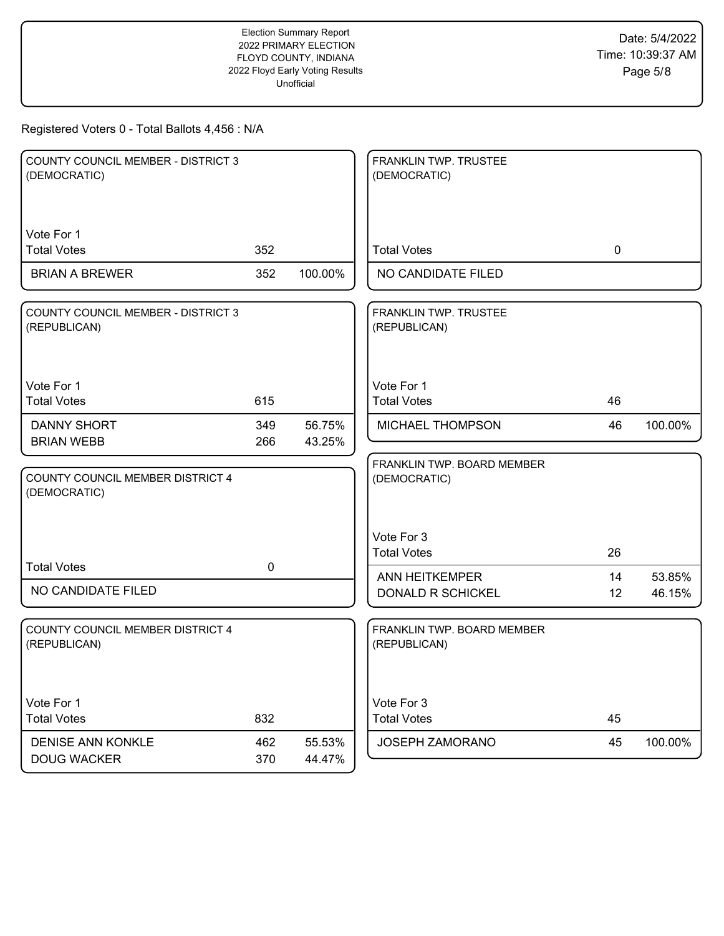| <b>COUNTY COUNCIL MEMBER - DISTRICT 3</b><br>(DEMOCRATIC) |             |                  | FRANKLIN TWP. TRUSTEE<br>(DEMOCRATIC)      |    |         |
|-----------------------------------------------------------|-------------|------------------|--------------------------------------------|----|---------|
| Vote For 1<br><b>Total Votes</b>                          | 352         |                  | <b>Total Votes</b>                         | 0  |         |
| <b>BRIAN A BREWER</b>                                     | 352         | 100.00%          | NO CANDIDATE FILED                         |    |         |
| COUNTY COUNCIL MEMBER - DISTRICT 3<br>(REPUBLICAN)        |             |                  | FRANKLIN TWP. TRUSTEE<br>(REPUBLICAN)      |    |         |
| Vote For 1<br><b>Total Votes</b>                          | 615         |                  | Vote For 1<br><b>Total Votes</b>           | 46 |         |
| <b>DANNY SHORT</b>                                        | 349         | 56.75%           | MICHAEL THOMPSON                           | 46 | 100.00% |
| <b>BRIAN WEBB</b>                                         | 266         | 43.25%           | FRANKLIN TWP. BOARD MEMBER                 |    |         |
| COUNTY COUNCIL MEMBER DISTRICT 4<br>(DEMOCRATIC)          |             |                  | (DEMOCRATIC)                               |    |         |
|                                                           |             |                  | Vote For 3<br><b>Total Votes</b>           | 26 |         |
| <b>Total Votes</b>                                        | $\mathbf 0$ |                  | <b>ANN HEITKEMPER</b>                      | 14 | 53.85%  |
| NO CANDIDATE FILED                                        |             |                  | DONALD R SCHICKEL                          | 12 | 46.15%  |
| <b>COUNTY COUNCIL MEMBER DISTRICT 4</b><br>(REPUBLICAN)   |             |                  | FRANKLIN TWP. BOARD MEMBER<br>(REPUBLICAN) |    |         |
| Vote For 1<br><b>Total Votes</b>                          | 832         |                  | Vote For 3<br><b>Total Votes</b>           | 45 |         |
| DENISE ANN KONKLE<br><b>DOUG WACKER</b>                   | 462<br>370  | 55.53%<br>44.47% | JOSEPH ZAMORANO                            | 45 | 100.00% |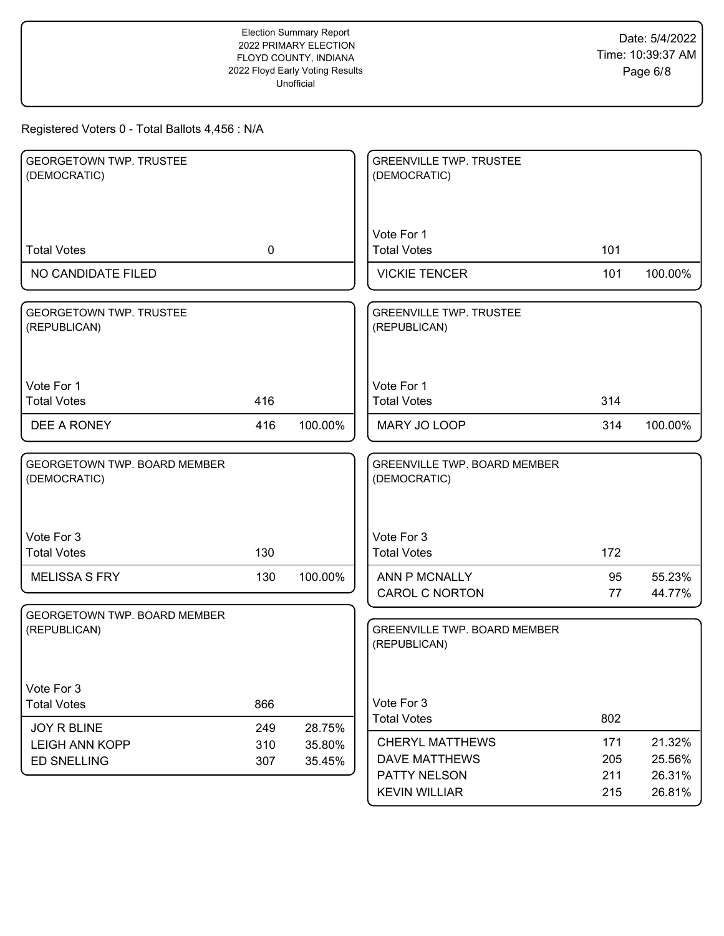| <b>GEORGETOWN TWP. TRUSTEE</b><br>(DEMOCRATIC)  |            |                  | <b>GREENVILLE TWP. TRUSTEE</b><br>(DEMOCRATIC)                                         |                          |                                      |
|-------------------------------------------------|------------|------------------|----------------------------------------------------------------------------------------|--------------------------|--------------------------------------|
| <b>Total Votes</b>                              | 0          |                  | Vote For 1<br><b>Total Votes</b>                                                       | 101                      |                                      |
| NO CANDIDATE FILED                              |            |                  | <b>VICKIE TENCER</b>                                                                   | 101                      | 100.00%                              |
| <b>GEORGETOWN TWP. TRUSTEE</b><br>(REPUBLICAN)  |            |                  | <b>GREENVILLE TWP. TRUSTEE</b><br>(REPUBLICAN)                                         |                          |                                      |
| Vote For 1<br><b>Total Votes</b>                | 416        |                  | Vote For 1<br><b>Total Votes</b>                                                       | 314                      |                                      |
| DEE A RONEY                                     | 416        | 100.00%          | MARY JO LOOP                                                                           | 314                      | 100.00%                              |
| GEORGETOWN TWP. BOARD MEMBER<br>(DEMOCRATIC)    |            |                  | <b>GREENVILLE TWP. BOARD MEMBER</b><br>(DEMOCRATIC)                                    |                          |                                      |
| Vote For 3<br><b>Total Votes</b>                | 130        |                  | Vote For 3<br><b>Total Votes</b>                                                       | 172                      |                                      |
| <b>MELISSA S FRY</b>                            | 130        | 100.00%          | ANN P MCNALLY<br><b>CAROL C NORTON</b>                                                 | 95<br>77                 | 55.23%<br>44.77%                     |
| GEORGETOWN TWP. BOARD MEMBER<br>(REPUBLICAN)    |            |                  | <b>GREENVILLE TWP. BOARD MEMBER</b><br>(REPUBLICAN)                                    |                          |                                      |
| Vote For 3<br><b>Total Votes</b><br>JOY R BLINE | 866<br>249 | 28.75%           | Vote For 3<br><b>Total Votes</b>                                                       | 802                      |                                      |
| <b>LEIGH ANN KOPP</b><br><b>ED SNELLING</b>     | 310<br>307 | 35.80%<br>35.45% | <b>CHERYL MATTHEWS</b><br><b>DAVE MATTHEWS</b><br>PATTY NELSON<br><b>KEVIN WILLIAR</b> | 171<br>205<br>211<br>215 | 21.32%<br>25.56%<br>26.31%<br>26.81% |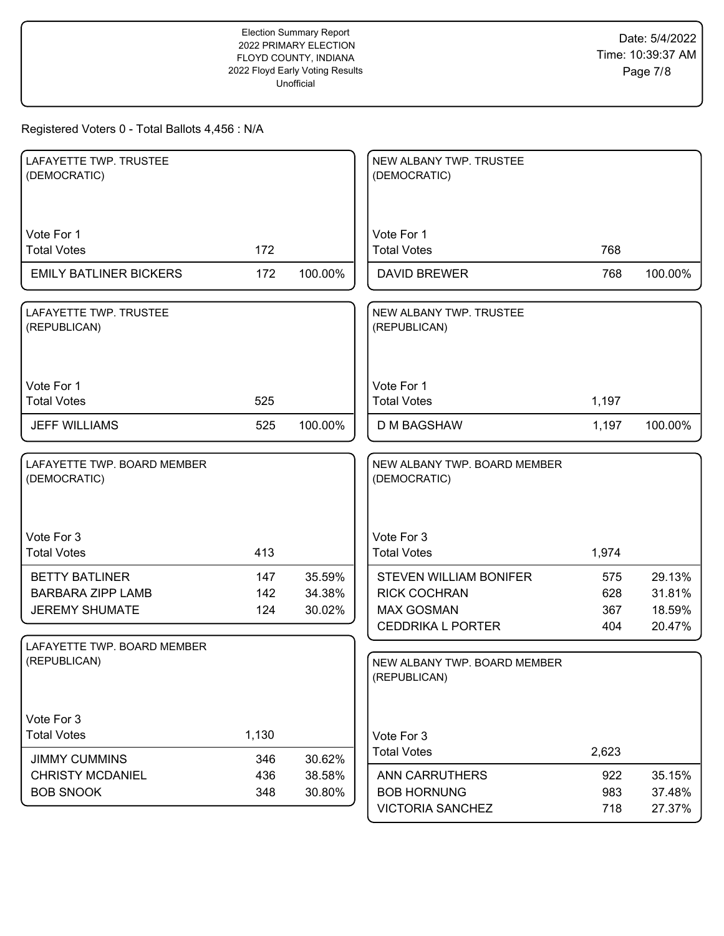| LAFAYETTE TWP. TRUSTEE<br>(DEMOCRATIC)                                     |                   |                            | NEW ALBANY TWP. TRUSTEE<br>(DEMOCRATIC)                                                               |                          |                                      |
|----------------------------------------------------------------------------|-------------------|----------------------------|-------------------------------------------------------------------------------------------------------|--------------------------|--------------------------------------|
| Vote For 1<br><b>Total Votes</b>                                           | 172               |                            | Vote For 1<br><b>Total Votes</b>                                                                      | 768                      |                                      |
| <b>EMILY BATLINER BICKERS</b>                                              | 172               | 100.00%                    | <b>DAVID BREWER</b>                                                                                   | 768                      | 100.00%                              |
| LAFAYETTE TWP. TRUSTEE<br>(REPUBLICAN)                                     |                   |                            | NEW ALBANY TWP. TRUSTEE<br>(REPUBLICAN)                                                               |                          |                                      |
| Vote For 1<br><b>Total Votes</b>                                           | 525               |                            | Vote For 1<br><b>Total Votes</b>                                                                      | 1,197                    |                                      |
| <b>JEFF WILLIAMS</b>                                                       | 525               | 100.00%                    | <b>D M BAGSHAW</b>                                                                                    | 1,197                    | 100.00%                              |
| LAFAYETTE TWP. BOARD MEMBER<br>(DEMOCRATIC)                                |                   |                            | NEW ALBANY TWP. BOARD MEMBER<br>(DEMOCRATIC)                                                          |                          |                                      |
| Vote For 3<br><b>Total Votes</b>                                           | 413               |                            | Vote For 3<br><b>Total Votes</b>                                                                      | 1,974                    |                                      |
| <b>BETTY BATLINER</b><br><b>BARBARA ZIPP LAMB</b><br><b>JEREMY SHUMATE</b> | 147<br>142<br>124 | 35.59%<br>34.38%<br>30.02% | <b>STEVEN WILLIAM BONIFER</b><br><b>RICK COCHRAN</b><br><b>MAX GOSMAN</b><br><b>CEDDRIKA L PORTER</b> | 575<br>628<br>367<br>404 | 29.13%<br>31.81%<br>18.59%<br>20.47% |
| LAFAYETTE TWP. BOARD MEMBER<br>(REPUBLICAN)                                |                   |                            | NEW ALBANY TWP. BOARD MEMBER<br>(REPUBLICAN)                                                          |                          |                                      |
| Vote For 3<br><b>Total Votes</b><br><b>JIMMY CUMMINS</b>                   | 1,130<br>346      | 30.62%                     | Vote For 3<br><b>Total Votes</b>                                                                      | 2,623                    |                                      |
| <b>CHRISTY MCDANIEL</b><br><b>BOB SNOOK</b>                                | 436<br>348        | 38.58%<br>30.80%           | <b>ANN CARRUTHERS</b><br><b>BOB HORNUNG</b><br><b>VICTORIA SANCHEZ</b>                                | 922<br>983<br>718        | 35.15%<br>37.48%<br>27.37%           |